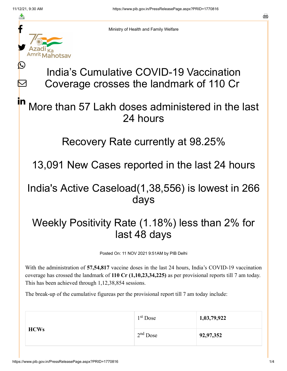≛

M



Ministry of Health and Family Welfare

# India's Cumulative COVID-19 Vaccination Coverage crosses the landmark of 110 Cr

#### More than 57 Lakh doses administered in the last 24 hours in

#### Recovery Rate currently at 98.25%

13,091 New Cases reported in the last 24 hours

### India's Active Caseload(1,38,556) is lowest in 266 days

## Weekly Positivity Rate (1.18%) less than 2% for last 48 days

Posted On: 11 NOV 2021 9:51AM by PIB Delhi

With the administration of **57,54,817** vaccine doses in the last 24 hours, India's COVID-19 vaccination coverage has crossed the landmark of **110 Cr (1,10,23,34,225)** as per provisional reports till 7 am today. This has been achieved through 1,12,38,854 sessions.

The break-up of the cumulative figureas per the provisional report till 7 am today include:

| <b>HCWs</b> | $1st$ Dose | 1,03,79,922 |
|-------------|------------|-------------|
|             | $2nd$ Dose | 92,97,352   |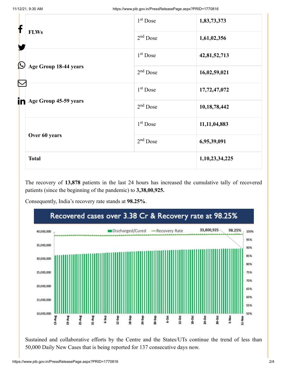| f                                |                       | 1 <sup>st</sup> Dose | 1,83,73,373     |
|----------------------------------|-----------------------|----------------------|-----------------|
| <b>FLWs</b><br>$\bm{\mathbb{O}}$ | $2nd$ Dose            | 1,61,02,356          |                 |
|                                  |                       | $1st$ Dose           | 42,81,52,713    |
|                                  | Age Group 18-44 years | $2nd$ Dose           | 16,02,59,021    |
|                                  |                       | $1st$ Dose           | 17,72,47,072    |
| in                               | Age Group 45-59 years | $2nd$ Dose           | 10,18,78,442    |
|                                  |                       | $1st$ Dose           | 11, 11, 04, 883 |
|                                  | Over 60 years         | $2nd$ Dose           | 6,95,39,091     |
|                                  | <b>Total</b>          |                      | 1,10,23,34,225  |

The recovery of **13,878** patients in the last 24 hours has increased the cumulative tally of recovered patients (since the beginning of the pandemic) to **3,38,00,925.**

Consequently, India's recovery rate stands at **98.25%**.



Sustained and collaborative efforts by the Centre and the States/UTs continue the trend of less than 50,000 Daily New Cases that is being reported for 137 consecutive days now.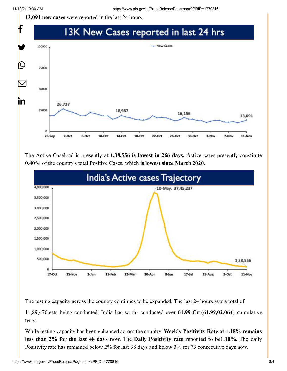**13,091 new cases** were reported in the last 24 hours.



The Active Caseload is presently at **1,38,556 is lowest in 266 days.** Active cases presently constitute **0.40%** of the country's total Positive Cases, which **is lowest since March 2020.**



The testing capacity across the country continues to be expanded. The last 24 hours saw a total of

11,89,470tests being conducted. India has so far conducted over **61.99 Cr (61,99,02,064**) cumulative tests.

While testing capacity has been enhanced across the country, **Weekly Positivity Rate at 1.18% remains less than 2% for the last 48 days now.** The **Daily Positivity rate reported to be1.10%.** The daily Positivity rate has remained below 2% for last 38 days and below 3% for 73 consecutive days now.